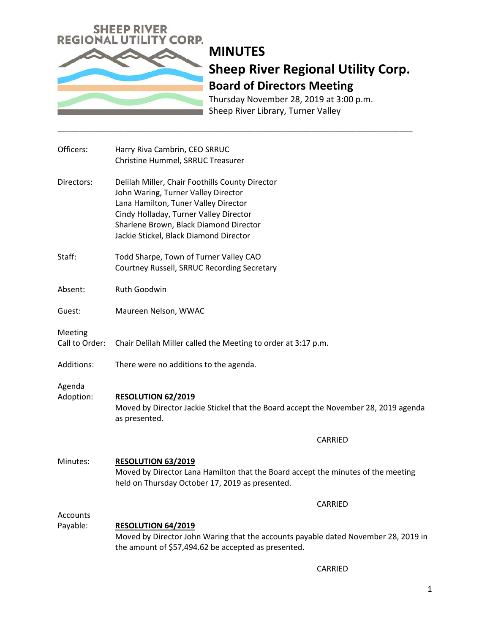

# **MINUTES Sheep River Regional Utility Corp. Board of Directors Meeting**

Thursday November 28, 2019 at 3:00 p.m. Sheep River Library, Turner Valley

| Officers:                   | Harry Riva Cambrin, CEO SRRUC<br>Christine Hummel, SRRUC Treasurer                                                                                                                                                                                           |
|-----------------------------|--------------------------------------------------------------------------------------------------------------------------------------------------------------------------------------------------------------------------------------------------------------|
| Directors:                  | Delilah Miller, Chair Foothills County Director<br>John Waring, Turner Valley Director<br>Lana Hamilton, Tuner Valley Director<br>Cindy Holladay, Turner Valley Director<br>Sharlene Brown, Black Diamond Director<br>Jackie Stickel, Black Diamond Director |
| Staff:                      | Todd Sharpe, Town of Turner Valley CAO<br>Courtney Russell, SRRUC Recording Secretary                                                                                                                                                                        |
| Absent:                     | Ruth Goodwin                                                                                                                                                                                                                                                 |
| Guest:                      | Maureen Nelson, WWAC                                                                                                                                                                                                                                         |
| Meeting<br>Call to Order:   | Chair Delilah Miller called the Meeting to order at 3:17 p.m.                                                                                                                                                                                                |
| Additions:                  | There were no additions to the agenda.                                                                                                                                                                                                                       |
| Agenda<br>Adoption:         | <b>RESOLUTION 62/2019</b><br>Moved by Director Jackie Stickel that the Board accept the November 28, 2019 agenda<br>as presented.                                                                                                                            |
|                             | CARRIED                                                                                                                                                                                                                                                      |
| Minutes:                    | RESOLUTION 63/2019<br>Moved by Director Lana Hamilton that the Board accept the minutes of the meeting<br>held on Thursday October 17, 2019 as presented.                                                                                                    |
|                             | <b>CARRIED</b>                                                                                                                                                                                                                                               |
| <b>Accounts</b><br>Payable: | <b>RESOLUTION 64/2019</b><br>Moved by Director John Waring that the accounts payable dated November 28, 2019 in<br>the amount of \$57,494.62 be accepted as presented.                                                                                       |

\_\_\_\_\_\_\_\_\_\_\_\_\_\_\_\_\_\_\_\_\_\_\_\_\_\_\_\_\_\_\_\_\_\_\_\_\_\_\_\_\_\_\_\_\_\_\_\_\_\_\_\_\_\_\_\_\_\_\_\_\_\_\_\_\_\_\_\_\_\_\_\_\_\_\_\_\_\_\_\_\_

CARRIED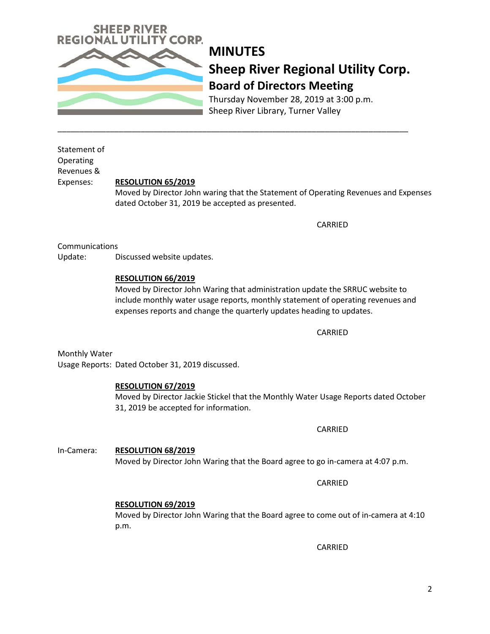

## **MINUTES Sheep River Regional Utility Corp. Board of Directors Meeting**

Thursday November 28, 2019 at 3:00 p.m. Sheep River Library, Turner Valley

Statement of Operating Revenues &

### Expenses: **RESOLUTION 65/2019**

Moved by Director John waring that the Statement of Operating Revenues and Expenses dated October 31, 2019 be accepted as presented.

\_\_\_\_\_\_\_\_\_\_\_\_\_\_\_\_\_\_\_\_\_\_\_\_\_\_\_\_\_\_\_\_\_\_\_\_\_\_\_\_\_\_\_\_\_\_\_\_\_\_\_\_\_\_\_\_\_\_\_\_\_\_\_\_\_\_\_\_\_\_\_\_\_\_\_\_\_\_\_\_

CARRIED

Communications

Update: Discussed website updates.

### **RESOLUTION 66/2019**

Moved by Director John Waring that administration update the SRRUC website to include monthly water usage reports, monthly statement of operating revenues and expenses reports and change the quarterly updates heading to updates.

CARRIED

Monthly Water Usage Reports: Dated October 31, 2019 discussed.

### **RESOLUTION 67/2019**

Moved by Director Jackie Stickel that the Monthly Water Usage Reports dated October 31, 2019 be accepted for information.

CARRIED

In-Camera: **RESOLUTION 68/2019** Moved by Director John Waring that the Board agree to go in-camera at 4:07 p.m.

CARRIED

### **RESOLUTION 69/2019**

Moved by Director John Waring that the Board agree to come out of in-camera at 4:10 p.m.

CARRIED